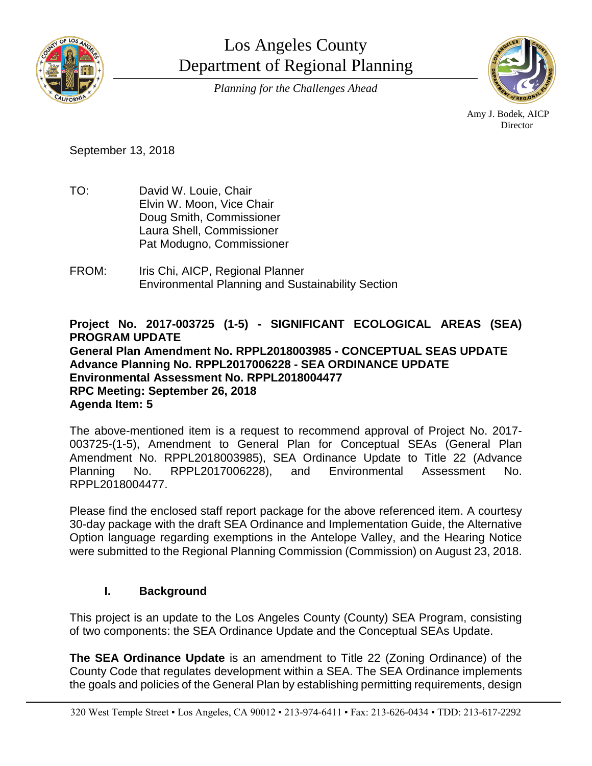

Los Angeles County Department of Regional Planning *Planning for the Challenges Ahead*



Amy J. Bodek, AICP **Director** 

September 13, 2018

- TO: David W. Louie, Chair Elvin W. Moon, Vice Chair Doug Smith, Commissioner Laura Shell, Commissioner Pat Modugno, Commissioner
- FROM: Iris Chi, AICP, Regional Planner Environmental Planning and Sustainability Section

### **Project No. 2017-003725 (1-5) - SIGNIFICANT ECOLOGICAL AREAS (SEA) PROGRAM UPDATE General Plan Amendment No. RPPL2018003985 - CONCEPTUAL SEAS UPDATE Advance Planning No. RPPL2017006228 - SEA ORDINANCE UPDATE Environmental Assessment No. RPPL2018004477 RPC Meeting: September 26, 2018 Agenda Item: 5**

The above-mentioned item is a request to recommend approval of Project No. 2017- 003725-(1-5), Amendment to General Plan for Conceptual SEAs (General Plan Amendment No. RPPL2018003985), SEA Ordinance Update to Title 22 (Advance Planning No. RPPL2017006228), and Environmental Assessment No. RPPL2018004477.

Please find the enclosed staff report package for the above referenced item. A courtesy 30-day package with the draft SEA Ordinance and Implementation Guide, the Alternative Option language regarding exemptions in the Antelope Valley, and the Hearing Notice were submitted to the Regional Planning Commission (Commission) on August 23, 2018.

# **I. Background**

This project is an update to the Los Angeles County (County) SEA Program, consisting of two components: the SEA Ordinance Update and the Conceptual SEAs Update.

**The SEA Ordinance Update** is an amendment to Title 22 (Zoning Ordinance) of the County Code that regulates development within a SEA. The SEA Ordinance implements the goals and policies of the General Plan by establishing permitting requirements, design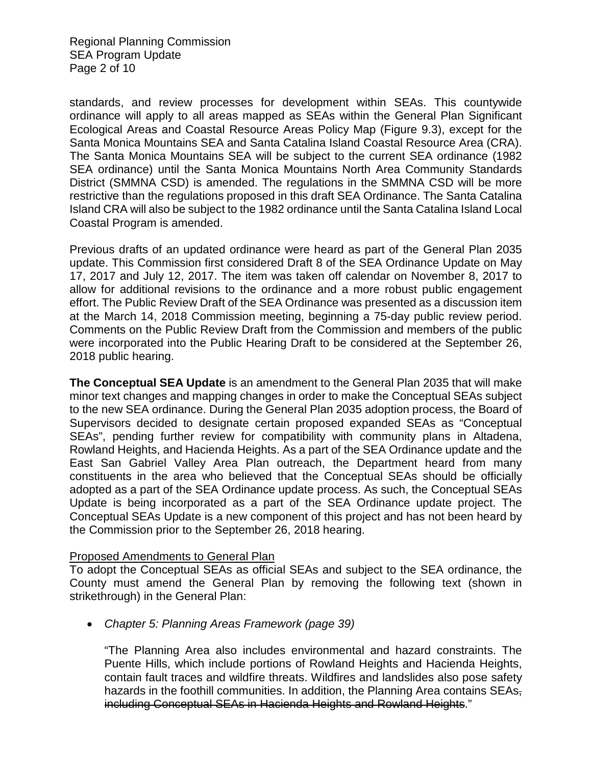Regional Planning Commission SEA Program Update Page 2 of 10

standards, and review processes for development within SEAs. This countywide ordinance will apply to all areas mapped as SEAs within the General Plan Significant Ecological Areas and Coastal Resource Areas Policy Map (Figure 9.3), except for the Santa Monica Mountains SEA and Santa Catalina Island Coastal Resource Area (CRA). The Santa Monica Mountains SEA will be subject to the current SEA ordinance (1982 SEA ordinance) until the Santa Monica Mountains North Area Community Standards District (SMMNA CSD) is amended. The regulations in the SMMNA CSD will be more restrictive than the regulations proposed in this draft SEA Ordinance. The Santa Catalina Island CRA will also be subject to the 1982 ordinance until the Santa Catalina Island Local Coastal Program is amended.

Previous drafts of an updated ordinance were heard as part of the General Plan 2035 update. This Commission first considered Draft 8 of the SEA Ordinance Update on May 17, 2017 and July 12, 2017. The item was taken off calendar on November 8, 2017 to allow for additional revisions to the ordinance and a more robust public engagement effort. The Public Review Draft of the SEA Ordinance was presented as a discussion item at the March 14, 2018 Commission meeting, beginning a 75-day public review period. Comments on the Public Review Draft from the Commission and members of the public were incorporated into the Public Hearing Draft to be considered at the September 26, 2018 public hearing.

**The Conceptual SEA Update** is an amendment to the General Plan 2035 that will make minor text changes and mapping changes in order to make the Conceptual SEAs subject to the new SEA ordinance. During the General Plan 2035 adoption process, the Board of Supervisors decided to designate certain proposed expanded SEAs as "Conceptual SEAs", pending further review for compatibility with community plans in Altadena, Rowland Heights, and Hacienda Heights. As a part of the SEA Ordinance update and the East San Gabriel Valley Area Plan outreach, the Department heard from many constituents in the area who believed that the Conceptual SEAs should be officially adopted as a part of the SEA Ordinance update process. As such, the Conceptual SEAs Update is being incorporated as a part of the SEA Ordinance update project. The Conceptual SEAs Update is a new component of this project and has not been heard by the Commission prior to the September 26, 2018 hearing.

#### Proposed Amendments to General Plan

To adopt the Conceptual SEAs as official SEAs and subject to the SEA ordinance, the County must amend the General Plan by removing the following text (shown in strikethrough) in the General Plan:

• *Chapter 5: Planning Areas Framework (page 39)*

"The Planning Area also includes environmental and hazard constraints. The Puente Hills, which include portions of Rowland Heights and Hacienda Heights, contain fault traces and wildfire threats. Wildfires and landslides also pose safety hazards in the foothill communities. In addition, the Planning Area contains SEAs, including Conceptual SEAs in Hacienda Heights and Rowland Heights."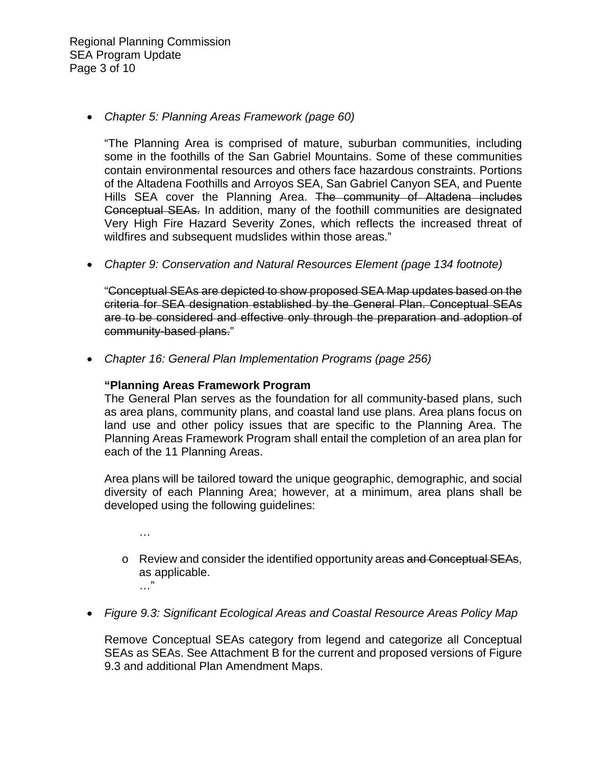Regional Planning Commission SEA Program Update Page 3 of 10

#### • *Chapter 5: Planning Areas Framework (page 60)*

"The Planning Area is comprised of mature, suburban communities, including some in the foothills of the San Gabriel Mountains. Some of these communities contain environmental resources and others face hazardous constraints. Portions of the Altadena Foothills and Arroyos SEA, San Gabriel Canyon SEA, and Puente Hills SEA cover the Planning Area. The community of Altadena includes Conceptual SEAs. In addition, many of the foothill communities are designated Very High Fire Hazard Severity Zones, which reflects the increased threat of wildfires and subsequent mudslides within those areas."

• *Chapter 9: Conservation and Natural Resources Element (page 134 footnote)*

"Conceptual SEAs are depicted to show proposed SEA Map updates based on the criteria for SEA designation established by the General Plan. Conceptual SEAs are to be considered and effective only through the preparation and adoption of community-based plans."

• *Chapter 16: General Plan Implementation Programs (page 256)*

#### **"Planning Areas Framework Program**

…

The General Plan serves as the foundation for all community-based plans, such as area plans, community plans, and coastal land use plans. Area plans focus on land use and other policy issues that are specific to the Planning Area. The Planning Areas Framework Program shall entail the completion of an area plan for each of the 11 Planning Areas.

Area plans will be tailored toward the unique geographic, demographic, and social diversity of each Planning Area; however, at a minimum, area plans shall be developed using the following guidelines:

o Review and consider the identified opportunity areas and Conceptual SEAs, as applicable. …"

• *Figure 9.3: Significant Ecological Areas and Coastal Resource Areas Policy Map*

Remove Conceptual SEAs category from legend and categorize all Conceptual SEAs as SEAs. See Attachment B for the current and proposed versions of Figure 9.3 and additional Plan Amendment Maps.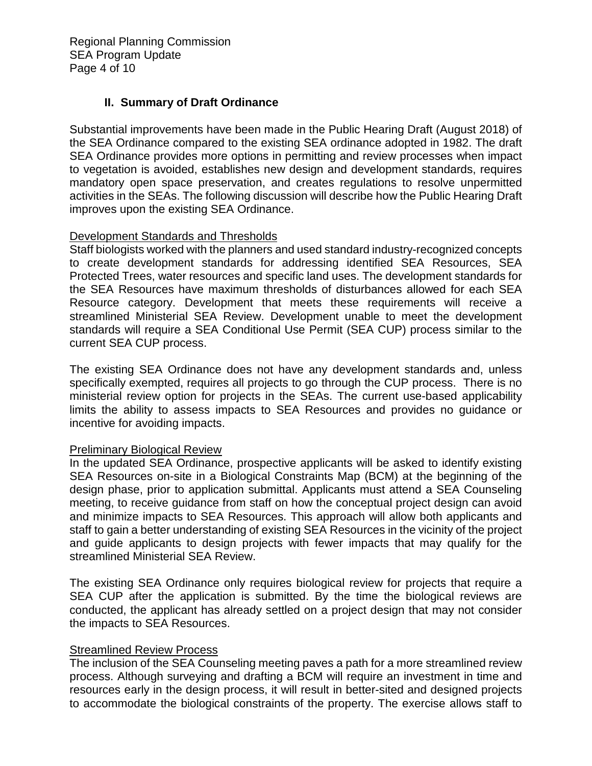Regional Planning Commission SEA Program Update Page 4 of 10

### **II. Summary of Draft Ordinance**

Substantial improvements have been made in the Public Hearing Draft (August 2018) of the SEA Ordinance compared to the existing SEA ordinance adopted in 1982. The draft SEA Ordinance provides more options in permitting and review processes when impact to vegetation is avoided, establishes new design and development standards, requires mandatory open space preservation, and creates regulations to resolve unpermitted activities in the SEAs. The following discussion will describe how the Public Hearing Draft improves upon the existing SEA Ordinance.

### Development Standards and Thresholds

Staff biologists worked with the planners and used standard industry-recognized concepts to create development standards for addressing identified SEA Resources, SEA Protected Trees, water resources and specific land uses. The development standards for the SEA Resources have maximum thresholds of disturbances allowed for each SEA Resource category. Development that meets these requirements will receive a streamlined Ministerial SEA Review. Development unable to meet the development standards will require a SEA Conditional Use Permit (SEA CUP) process similar to the current SEA CUP process.

The existing SEA Ordinance does not have any development standards and, unless specifically exempted, requires all projects to go through the CUP process. There is no ministerial review option for projects in the SEAs. The current use-based applicability limits the ability to assess impacts to SEA Resources and provides no guidance or incentive for avoiding impacts.

# Preliminary Biological Review

In the updated SEA Ordinance, prospective applicants will be asked to identify existing SEA Resources on-site in a Biological Constraints Map (BCM) at the beginning of the design phase, prior to application submittal. Applicants must attend a SEA Counseling meeting, to receive guidance from staff on how the conceptual project design can avoid and minimize impacts to SEA Resources. This approach will allow both applicants and staff to gain a better understanding of existing SEA Resources in the vicinity of the project and guide applicants to design projects with fewer impacts that may qualify for the streamlined Ministerial SEA Review.

The existing SEA Ordinance only requires biological review for projects that require a SEA CUP after the application is submitted. By the time the biological reviews are conducted, the applicant has already settled on a project design that may not consider the impacts to SEA Resources.

### Streamlined Review Process

The inclusion of the SEA Counseling meeting paves a path for a more streamlined review process. Although surveying and drafting a BCM will require an investment in time and resources early in the design process, it will result in better-sited and designed projects to accommodate the biological constraints of the property. The exercise allows staff to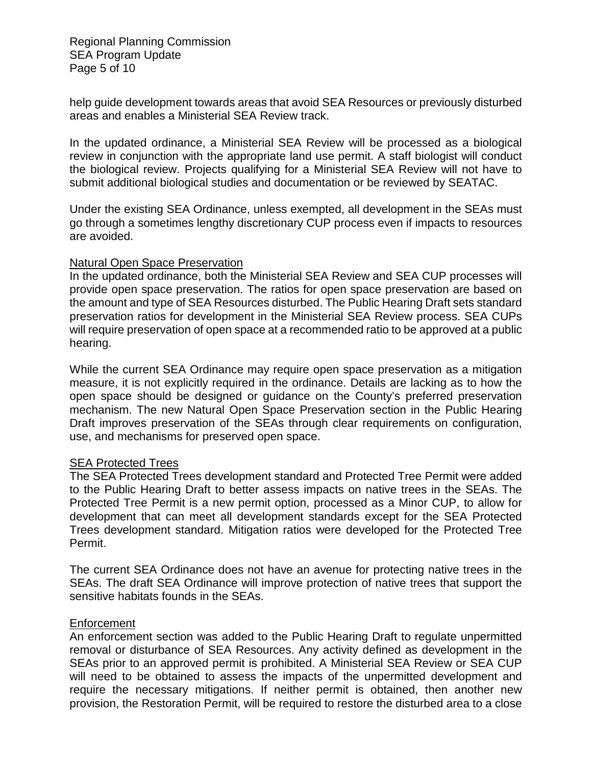Regional Planning Commission SEA Program Update Page 5 of 10

help guide development towards areas that avoid SEA Resources or previously disturbed areas and enables a Ministerial SEA Review track.

In the updated ordinance, a Ministerial SEA Review will be processed as a biological review in conjunction with the appropriate land use permit. A staff biologist will conduct the biological review. Projects qualifying for a Ministerial SEA Review will not have to submit additional biological studies and documentation or be reviewed by SEATAC.

Under the existing SEA Ordinance, unless exempted, all development in the SEAs must go through a sometimes lengthy discretionary CUP process even if impacts to resources are avoided.

#### Natural Open Space Preservation

In the updated ordinance, both the Ministerial SEA Review and SEA CUP processes will provide open space preservation. The ratios for open space preservation are based on the amount and type of SEA Resources disturbed. The Public Hearing Draft sets standard preservation ratios for development in the Ministerial SEA Review process. SEA CUPs will require preservation of open space at a recommended ratio to be approved at a public hearing.

While the current SEA Ordinance may require open space preservation as a mitigation measure, it is not explicitly required in the ordinance. Details are lacking as to how the open space should be designed or guidance on the County's preferred preservation mechanism. The new Natural Open Space Preservation section in the Public Hearing Draft improves preservation of the SEAs through clear requirements on configuration, use, and mechanisms for preserved open space.

# **SEA Protected Trees**

The SEA Protected Trees development standard and Protected Tree Permit were added to the Public Hearing Draft to better assess impacts on native trees in the SEAs. The Protected Tree Permit is a new permit option, processed as a Minor CUP, to allow for development that can meet all development standards except for the SEA Protected Trees development standard. Mitigation ratios were developed for the Protected Tree Permit.

The current SEA Ordinance does not have an avenue for protecting native trees in the SEAs. The draft SEA Ordinance will improve protection of native trees that support the sensitive habitats founds in the SEAs.

#### Enforcement

An enforcement section was added to the Public Hearing Draft to regulate unpermitted removal or disturbance of SEA Resources. Any activity defined as development in the SEAs prior to an approved permit is prohibited. A Ministerial SEA Review or SEA CUP will need to be obtained to assess the impacts of the unpermitted development and require the necessary mitigations. If neither permit is obtained, then another new provision, the Restoration Permit, will be required to restore the disturbed area to a close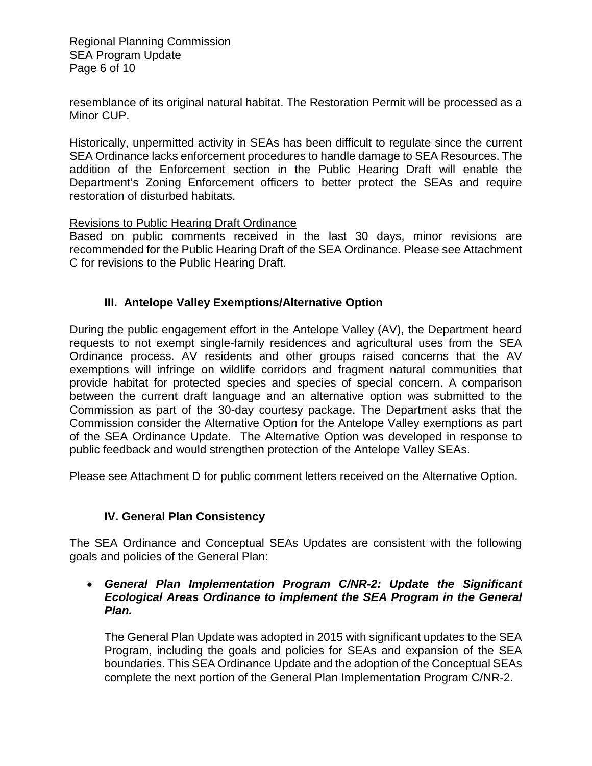Regional Planning Commission SEA Program Update Page 6 of 10

resemblance of its original natural habitat. The Restoration Permit will be processed as a Minor CUP.

Historically, unpermitted activity in SEAs has been difficult to regulate since the current SEA Ordinance lacks enforcement procedures to handle damage to SEA Resources. The addition of the Enforcement section in the Public Hearing Draft will enable the Department's Zoning Enforcement officers to better protect the SEAs and require restoration of disturbed habitats.

Revisions to Public Hearing Draft Ordinance

Based on public comments received in the last 30 days, minor revisions are recommended for the Public Hearing Draft of the SEA Ordinance. Please see Attachment C for revisions to the Public Hearing Draft.

### **III. Antelope Valley Exemptions/Alternative Option**

During the public engagement effort in the Antelope Valley (AV), the Department heard requests to not exempt single-family residences and agricultural uses from the SEA Ordinance process. AV residents and other groups raised concerns that the AV exemptions will infringe on wildlife corridors and fragment natural communities that provide habitat for protected species and species of special concern. A comparison between the current draft language and an alternative option was submitted to the Commission as part of the 30-day courtesy package. The Department asks that the Commission consider the Alternative Option for the Antelope Valley exemptions as part of the SEA Ordinance Update. The Alternative Option was developed in response to public feedback and would strengthen protection of the Antelope Valley SEAs.

Please see Attachment D for public comment letters received on the Alternative Option.

### **IV. General Plan Consistency**

The SEA Ordinance and Conceptual SEAs Updates are consistent with the following goals and policies of the General Plan:

• *General Plan Implementation Program C/NR-2: Update the Significant Ecological Areas Ordinance to implement the SEA Program in the General Plan.*

The General Plan Update was adopted in 2015 with significant updates to the SEA Program, including the goals and policies for SEAs and expansion of the SEA boundaries. This SEA Ordinance Update and the adoption of the Conceptual SEAs complete the next portion of the General Plan Implementation Program C/NR-2.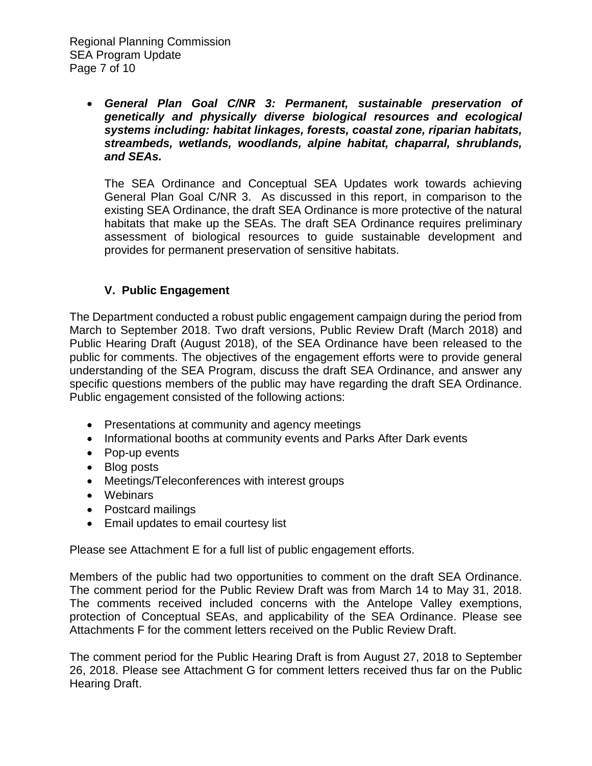• *General Plan Goal C/NR 3: Permanent, sustainable preservation of genetically and physically diverse biological resources and ecological systems including: habitat linkages, forests, coastal zone, riparian habitats, streambeds, wetlands, woodlands, alpine habitat, chaparral, shrublands, and SEAs.*

The SEA Ordinance and Conceptual SEA Updates work towards achieving General Plan Goal C/NR 3. As discussed in this report, in comparison to the existing SEA Ordinance, the draft SEA Ordinance is more protective of the natural habitats that make up the SEAs. The draft SEA Ordinance requires preliminary assessment of biological resources to guide sustainable development and provides for permanent preservation of sensitive habitats.

# **V. Public Engagement**

The Department conducted a robust public engagement campaign during the period from March to September 2018. Two draft versions, Public Review Draft (March 2018) and Public Hearing Draft (August 2018), of the SEA Ordinance have been released to the public for comments. The objectives of the engagement efforts were to provide general understanding of the SEA Program, discuss the draft SEA Ordinance, and answer any specific questions members of the public may have regarding the draft SEA Ordinance. Public engagement consisted of the following actions:

- Presentations at community and agency meetings
- Informational booths at community events and Parks After Dark events
- Pop-up events
- Blog posts
- Meetings/Teleconferences with interest groups
- Webinars
- Postcard mailings
- Email updates to email courtesy list

Please see Attachment E for a full list of public engagement efforts.

Members of the public had two opportunities to comment on the draft SEA Ordinance. The comment period for the Public Review Draft was from March 14 to May 31, 2018. The comments received included concerns with the Antelope Valley exemptions, protection of Conceptual SEAs, and applicability of the SEA Ordinance. Please see Attachments F for the comment letters received on the Public Review Draft.

The comment period for the Public Hearing Draft is from August 27, 2018 to September 26, 2018. Please see Attachment G for comment letters received thus far on the Public Hearing Draft.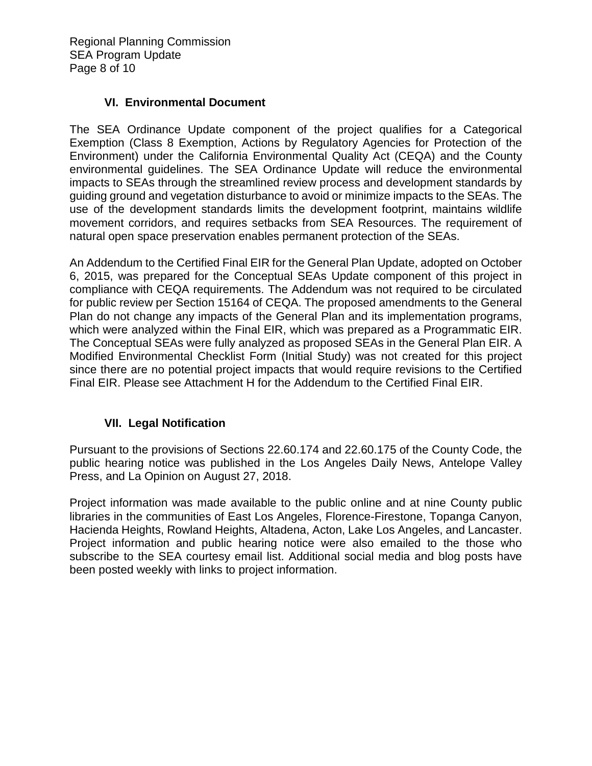Regional Planning Commission SEA Program Update Page 8 of 10

### **VI. Environmental Document**

The SEA Ordinance Update component of the project qualifies for a Categorical Exemption (Class 8 Exemption, Actions by Regulatory Agencies for Protection of the Environment) under the California Environmental Quality Act (CEQA) and the County environmental guidelines. The SEA Ordinance Update will reduce the environmental impacts to SEAs through the streamlined review process and development standards by guiding ground and vegetation disturbance to avoid or minimize impacts to the SEAs. The use of the development standards limits the development footprint, maintains wildlife movement corridors, and requires setbacks from SEA Resources. The requirement of natural open space preservation enables permanent protection of the SEAs.

An Addendum to the Certified Final EIR for the General Plan Update, adopted on October 6, 2015, was prepared for the Conceptual SEAs Update component of this project in compliance with CEQA requirements. The Addendum was not required to be circulated for public review per Section 15164 of CEQA. The proposed amendments to the General Plan do not change any impacts of the General Plan and its implementation programs, which were analyzed within the Final EIR, which was prepared as a Programmatic EIR. The Conceptual SEAs were fully analyzed as proposed SEAs in the General Plan EIR. A Modified Environmental Checklist Form (Initial Study) was not created for this project since there are no potential project impacts that would require revisions to the Certified Final EIR. Please see Attachment H for the Addendum to the Certified Final EIR.

# **VII. Legal Notification**

Pursuant to the provisions of Sections 22.60.174 and 22.60.175 of the County Code, the public hearing notice was published in the Los Angeles Daily News, Antelope Valley Press, and La Opinion on August 27, 2018.

Project information was made available to the public online and at nine County public libraries in the communities of East Los Angeles, Florence-Firestone, Topanga Canyon, Hacienda Heights, Rowland Heights, Altadena, Acton, Lake Los Angeles, and Lancaster. Project information and public hearing notice were also emailed to the those who subscribe to the SEA courtesy email list. Additional social media and blog posts have been posted weekly with links to project information.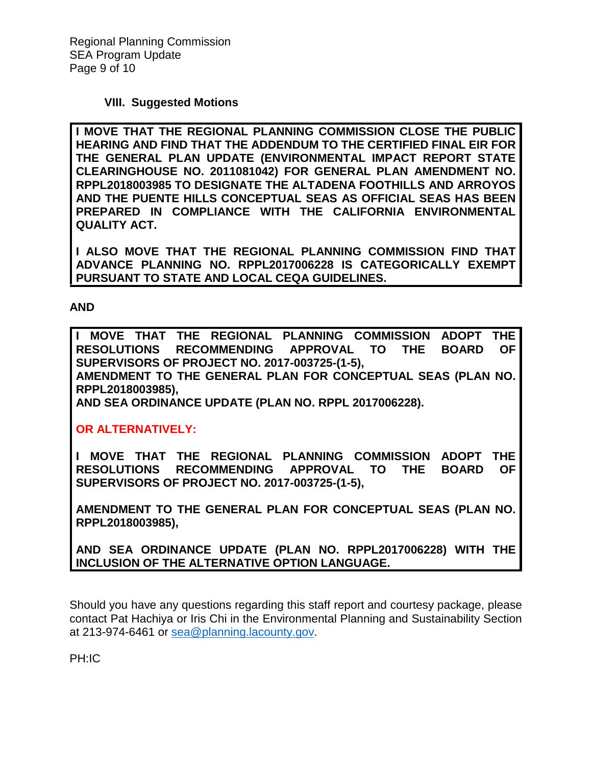### **VIII. Suggested Motions**

**I MOVE THAT THE REGIONAL PLANNING COMMISSION CLOSE THE PUBLIC HEARING AND FIND THAT THE ADDENDUM TO THE CERTIFIED FINAL EIR FOR THE GENERAL PLAN UPDATE (ENVIRONMENTAL IMPACT REPORT STATE CLEARINGHOUSE NO. 2011081042) FOR GENERAL PLAN AMENDMENT NO. RPPL2018003985 TO DESIGNATE THE ALTADENA FOOTHILLS AND ARROYOS AND THE PUENTE HILLS CONCEPTUAL SEAS AS OFFICIAL SEAS HAS BEEN PREPARED IN COMPLIANCE WITH THE CALIFORNIA ENVIRONMENTAL QUALITY ACT.**

**I ALSO MOVE THAT THE REGIONAL PLANNING COMMISSION FIND THAT ADVANCE PLANNING NO. RPPL2017006228 IS CATEGORICALLY EXEMPT PURSUANT TO STATE AND LOCAL CEQA GUIDELINES.**

**AND**

**I MOVE THAT THE REGIONAL PLANNING COMMISSION ADOPT THE RESOLUTIONS RECOMMENDING APPROVAL TO THE BOARD SUPERVISORS OF PROJECT NO. 2017-003725-(1-5),** 

**AMENDMENT TO THE GENERAL PLAN FOR CONCEPTUAL SEAS (PLAN NO. RPPL2018003985),** 

**AND SEA ORDINANCE UPDATE (PLAN NO. RPPL 2017006228).**

**OR ALTERNATIVELY:**

**I MOVE THAT THE REGIONAL PLANNING COMMISSION ADOPT THE RESOLUTIONS RECOMMENDING APPROVAL TO THE BOARD OF SUPERVISORS OF PROJECT NO. 2017-003725-(1-5),** 

**AMENDMENT TO THE GENERAL PLAN FOR CONCEPTUAL SEAS (PLAN NO. RPPL2018003985),** 

**AND SEA ORDINANCE UPDATE (PLAN NO. RPPL2017006228) WITH THE INCLUSION OF THE ALTERNATIVE OPTION LANGUAGE.**

Should you have any questions regarding this staff report and courtesy package, please contact Pat Hachiya or Iris Chi in the Environmental Planning and Sustainability Section at 213-974-6461 or [sea@planning.lacounty.gov.](mailto:sea@planning.lacounty.gov)

PH:IC